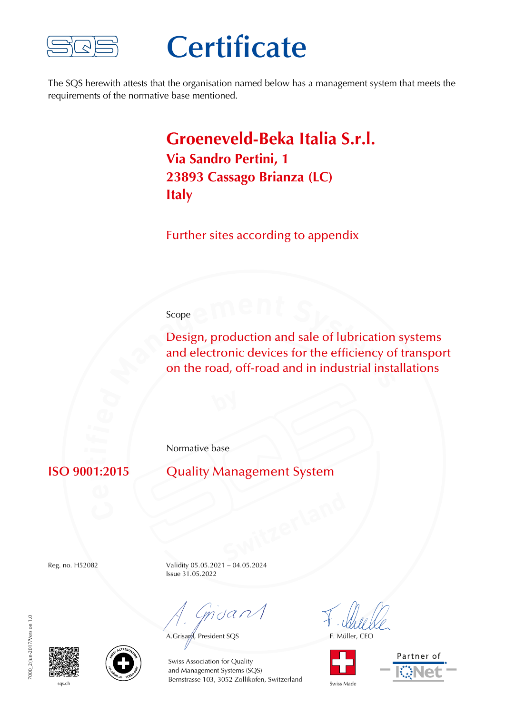

## **Certificate**

The SQS herewith attests that the organisation named below has a management system that meets the requirements of the normative base mentioned.

## **Groeneveld-Beka Italia S.r.l. Via Sandro Pertini, 1 23893 Cassago Brianza (LC) Italy**

Further sites according to appendix

## Scope

Design, production and sale of lubrication systems and electronic devices for the efficiency of transport on the road, off-road and in industrial installations

Normative base

**ISO 9001:2015** Quality Management System

Reg. no. H52082 Validity 05.05.2021 – 04.05.2024 Issue 31.05.2022

mdan

A.Grisard, President SQS F. Müller, CEO





7000 2/Jun-2017/Version 1.0 7000\_2/Jun-2017/Version 1.0





sqs.ch Bernstrasse 103, 3052 Zollikofen, Switzerland Swiss Made Swiss Association for Quality and Management Systems (SQS)